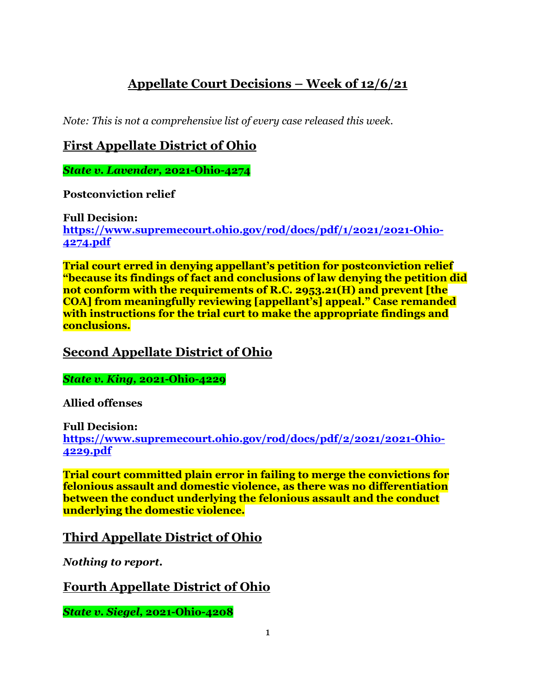# **Appellate Court Decisions – Week of 12/6/21**

*Note: This is not a comprehensive list of every case released this week.*

# **First Appellate District of Ohio**

*State v. Lavender,* **2021-Ohio-4274**

**Postconviction relief**

**Full Decision: [https://www.supremecourt.ohio.gov/rod/docs/pdf/1/2021/2021-Ohio-](https://www.supremecourt.ohio.gov/rod/docs/pdf/1/2021/2021-Ohio-4274.pdf)[4274.pdf](https://www.supremecourt.ohio.gov/rod/docs/pdf/1/2021/2021-Ohio-4274.pdf)**

**Trial court erred in denying appellant's petition for postconviction relief "because its findings of fact and conclusions of law denying the petition did not conform with the requirements of R.C. 2953.21(H) and prevent [the COA] from meaningfully reviewing [appellant's] appeal." Case remanded with instructions for the trial curt to make the appropriate findings and conclusions.**

**Second Appellate District of Ohio**

*State v. King,* **2021-Ohio-4229**

**Allied offenses**

**Full Decision: [https://www.supremecourt.ohio.gov/rod/docs/pdf/2/2021/2021-Ohio-](https://www.supremecourt.ohio.gov/rod/docs/pdf/2/2021/2021-Ohio-4229.pdf)[4229.pdf](https://www.supremecourt.ohio.gov/rod/docs/pdf/2/2021/2021-Ohio-4229.pdf)**

**Trial court committed plain error in failing to merge the convictions for felonious assault and domestic violence, as there was no differentiation between the conduct underlying the felonious assault and the conduct underlying the domestic violence.** 

**Third Appellate District of Ohio**

*Nothing to report.*

**Fourth Appellate District of Ohio**

*State v. Siegel,* **2021-Ohio-4208**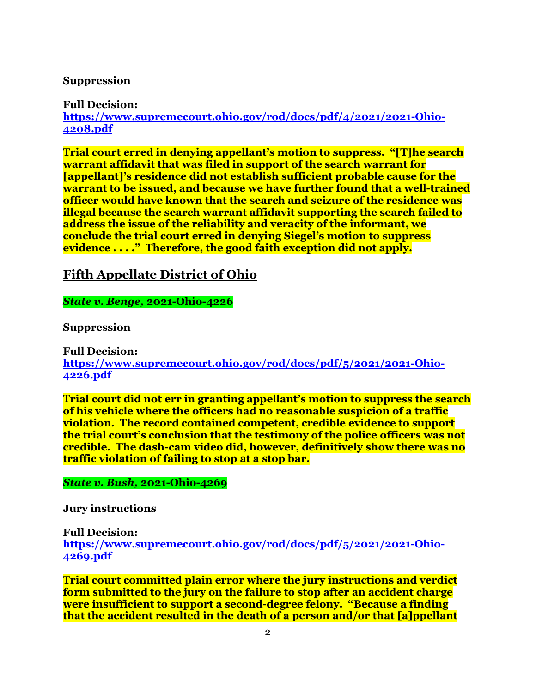#### **Suppression**

**Full Decision: [https://www.supremecourt.ohio.gov/rod/docs/pdf/4/2021/2021-Ohio-](https://www.supremecourt.ohio.gov/rod/docs/pdf/4/2021/2021-Ohio-4208.pdf)[4208.pdf](https://www.supremecourt.ohio.gov/rod/docs/pdf/4/2021/2021-Ohio-4208.pdf)**

**Trial court erred in denying appellant's motion to suppress. "[T]he search warrant affidavit that was filed in support of the search warrant for [appellant]'s residence did not establish sufficient probable cause for the warrant to be issued, and because we have further found that a well-trained officer would have known that the search and seizure of the residence was illegal because the search warrant affidavit supporting the search failed to address the issue of the reliability and veracity of the informant, we conclude the trial court erred in denying Siegel's motion to suppress evidence . . . ." Therefore, the good faith exception did not apply.** 

#### **Fifth Appellate District of Ohio**

*State v. Benge,* **2021-Ohio-4226**

**Suppression**

**Full Decision: [https://www.supremecourt.ohio.gov/rod/docs/pdf/5/2021/2021-Ohio-](https://www.supremecourt.ohio.gov/rod/docs/pdf/5/2021/2021-Ohio-4226.pdf)[4226.pdf](https://www.supremecourt.ohio.gov/rod/docs/pdf/5/2021/2021-Ohio-4226.pdf)**

**Trial court did not err in granting appellant's motion to suppress the search of his vehicle where the officers had no reasonable suspicion of a traffic violation. The record contained competent, credible evidence to support the trial court's conclusion that the testimony of the police officers was not credible. The dash-cam video did, however, definitively show there was no traffic violation of failing to stop at a stop bar.**

*State v. Bush,* **2021-Ohio-4269**

**Jury instructions**

**Full Decision:**

**[https://www.supremecourt.ohio.gov/rod/docs/pdf/5/2021/2021-Ohio-](https://www.supremecourt.ohio.gov/rod/docs/pdf/5/2021/2021-Ohio-4269.pdf)[4269.pdf](https://www.supremecourt.ohio.gov/rod/docs/pdf/5/2021/2021-Ohio-4269.pdf)**

**Trial court committed plain error where the jury instructions and verdict form submitted to the jury on the failure to stop after an accident charge were insufficient to support a second-degree felony. "Because a finding that the accident resulted in the death of a person and/or that [a]ppellant**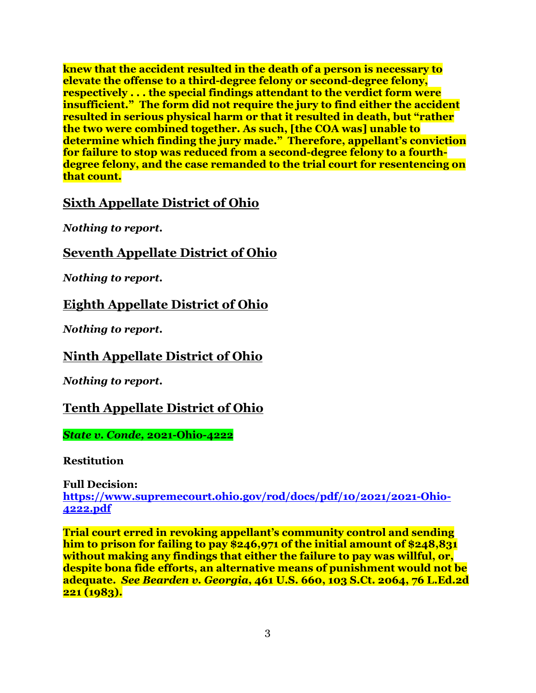**knew that the accident resulted in the death of a person is necessary to elevate the offense to a third-degree felony or second-degree felony, respectively . . . the special findings attendant to the verdict form were insufficient." The form did not require the jury to find either the accident resulted in serious physical harm or that it resulted in death, but "rather the two were combined together. As such, [the COA was] unable to determine which finding the jury made." Therefore, appellant's conviction for failure to stop was reduced from a second-degree felony to a fourthdegree felony, and the case remanded to the trial court for resentencing on that count.**

#### **Sixth Appellate District of Ohio**

*Nothing to report.*

### **Seventh Appellate District of Ohio**

*Nothing to report.*

## **Eighth Appellate District of Ohio**

*Nothing to report.*

## **Ninth Appellate District of Ohio**

*Nothing to report.*

## **Tenth Appellate District of Ohio**

#### *State v. Conde,* **2021-Ohio-4222**

**Restitution**

**Full Decision: [https://www.supremecourt.ohio.gov/rod/docs/pdf/10/2021/2021-Ohio-](https://www.supremecourt.ohio.gov/rod/docs/pdf/10/2021/2021-Ohio-4222.pdf)[4222.pdf](https://www.supremecourt.ohio.gov/rod/docs/pdf/10/2021/2021-Ohio-4222.pdf)**

**Trial court erred in revoking appellant's community control and sending him to prison for failing to pay \$246,971 of the initial amount of \$248,831 without making any findings that either the failure to pay was willful, or, despite bona fide efforts, an alternative means of punishment would not be adequate.** *See Bearden v. Georgia***, 461 U.S. 660, 103 S.Ct. 2064, 76 L.Ed.2d 221 (1983).**